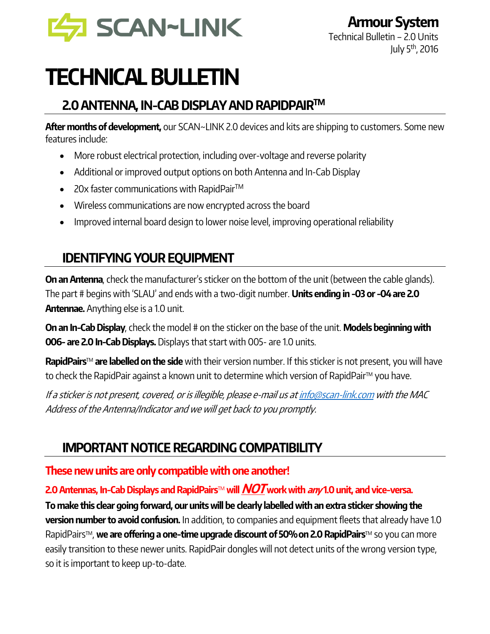

# TECHNICAL BULLETIN

## 2.0 ANTENNA, IN-CAB DISPLAY AND RAPIDPAIR™

After months of development, our SCAN~LINK 2.0 devices and kits are shipping to customers. Some new features include:

- More robust electrical protection, including over-voltage and reverse polarity
- Additional or improved output options on both Antenna and In-Cab Display
- 20x faster communications with RapidPair<sup>TM</sup>
- Wireless communications are now encrypted across the board
- Improved internal board design to lower noise level, improving operational reliability

# IDENTIFYING YOUR EQUIPMENT

On an Antenna, check the manufacturer's sticker on the bottom of the unit (between the cable glands). The part # begins with 'SLAU' and ends with a two-digit number. **Units ending in -03 or -04 are 2.0 Antennae.** Anything else is a 1.0 unit.

On an In-Cab Display, check the model # on the sticker on the base of the unit. Models beginning with **006- are 2.0 In-Cab Displays.** Displays that start with 005- are 1.0 units.

RapidPairs<sup>™</sup> are labelled on the side with their version number. If this sticker is not present, you will have to check the RapidPair against a known unit to determine which version of RapidPair™ you have.

If a sticker is not present, covered, or is illegible, please e-mail us a[t info@scan-link.com](mailto:info@scan-link.com) with the MAC Address of the Antenna/Indicator and we will get back to you promptly.

## IMPORTANT NOTICE REGARDING COMPATIBILITY

### These new units are only compatible with one another!

#### 2.0 Antennas, In-Cab Displays and RapidPairs™ will  $NOT$  work with any 1.0 unit, and vice-versa.

To make this clear going forward, our units will be clearly labelled with an extra sticker showing the version number to avoid confusion. In addition, to companies and equipment fleets that already have 1.0 RapidPairs™, we are offering a one-time upgrade discount of 50% on 2.0 RapidPairs™ so you can more easily transition to these newer units. RapidPair dongles will not detect units of the wrong version type, so it is important to keep up-to-date.